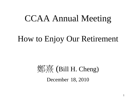## CCAA Annual Meeting

#### How to Enjoy Our Retirement



December 18, 2010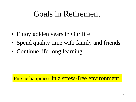### Goals in Retirement

- Enjoy golden years in Our life
- Spend quality time with family and friends
- Continue life-long learning

Pursue happiness in a stress-free environment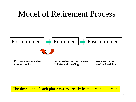### Model of Retirement Process



–**Hobbies and traveling**

–**Rest on Sunday**

**The time span of each phase varies greatly from person to person**

–**Weekend activities**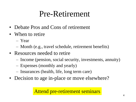## Pre-Retirement

- Debate Pros and Cons of retirement
- When to retire
	- Year
	- Month (e.g., travel schedule, retirement benefits)
- Resources needed to retire
	- Income (pension, social security, investments, annuity)
	- Expenses (monthly and yearly)
	- Insurances (health, life, long term care)
- Decision to age in-place or move elsewhere?

#### Attend pre-retirement seminars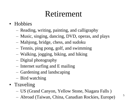## Retirement

- Hobbies
	- Reading, writing, painting, and calligraphy
	- Music, singing, dancing, DVD, operas, and plays
	- Mahjong, bridge, chess, and sudoku
	- Tennis, ping pong, golf, and swimming
	- Walking, jogging, biking, and hiking
	- Digital photography
	- Internet surfing and E mailing
	- Gardening and landscaping
	- Bird watching
- Traveling
	- US (Grand Canyon, Yellow Stone, Niagara Falls )
	- Abroad (Taiwan, China, Canadian Rockies, Europe)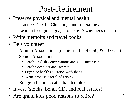## Post-Retirement

- Preserve physical and mental health
	- Practice Tai Chi, Chi Gong, and reflexology
	- Learn a foreign language to delay Alzheimer's disease
- Write memoirs and travel books
- Be a volunteer
	- Alumni Associations (reunions after 45, 50, & 60 years)
	- Senior Associations
		- Teach English Conversations and US Citizenship
		- Teach Computer and Internet
		- Organize health education workshops
		- Write proposals for fund raising
	- Religion (church, cathedral, temple)
- Invest (stocks, bond, CD, and real estates)
- Are grand kids good reasons to retire?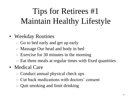# Tips for Retirees #1 Maintain Healthy Lifestyle

- Weekday Routines
	- Go to bed early and get up early
	- Massage Our head and body in bed
	- Exercise for 30 minutes in the morning
	- Eat three meals at regular times with fixed quantities
- Medical Care
	- Conduct annual physical check ups
	- Cut back medications with doctors' consent
	- Quit smoking and limit drinking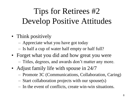# Tips for Retirees #2 Develop Positive Attitudes

- Think positively
	- Appreciate what you have got today
	- Is half a cup of water half empty or half full?
- Forget what you did and how great you were
	- Titles, degrees, and awards don't matter any more.
- Adjust family life with spouse in 24/7
	- Promote 3C (Communications, Collaboration, Caring)
	- Start collaboration projects with our spouse(s)
	- In the event of conflicts, create win-win situations.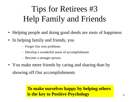# Tips for Retirees #3 Help Family and Friends

- Helping people and doing good deeds are roots of happiness
- In helping family and friends, you
	- Forget Our own problems
	- Develop a wonderful sense of accomplishment
	- Become a stronger person.
- You make more friends by caring and sharing than by showing off Our accomplishments

#### **To make ourselves happy by helping others is the key to Positive Psychology**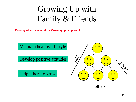# Growing Up with Family & Friends

**Growing older is mandatory. Growing up is optional.**



others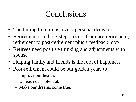## Conclusions

- The timing to retire is a very personal decision
- Retirement is a three-step process from pre-retirement, retirement to post-retirement plus a feedback loop
- Retirees need positive thinking and adjustments with spouse
- Helping family and friends is the root of happiness
- Post-retirement could be our golden years to
	- Improve our health,
	- Unleash our potential,
	- Make our dreams come true.